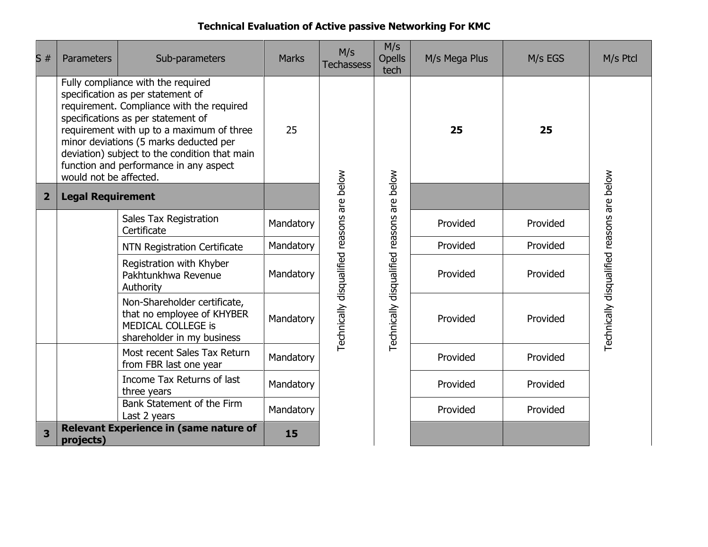## **Technical Evaluation of Active passive Networking For KMC**

| S#             | <b>Parameters</b>                                                                                                                                                                                                                                                                                                                                                      | Sub-parameters                                                                                                 | <b>Marks</b> | M/s<br><b>Techassess</b>                   | M/s<br><b>Opells</b><br>tech               | M/s Mega Plus | M/s EGS              | M/s Ptcl                                   |
|----------------|------------------------------------------------------------------------------------------------------------------------------------------------------------------------------------------------------------------------------------------------------------------------------------------------------------------------------------------------------------------------|----------------------------------------------------------------------------------------------------------------|--------------|--------------------------------------------|--------------------------------------------|---------------|----------------------|--------------------------------------------|
|                | Fully compliance with the required<br>specification as per statement of<br>requirement. Compliance with the required<br>specifications as per statement of<br>requirement with up to a maximum of three<br>minor deviations (5 marks deducted per<br>deviation) subject to the condition that main<br>function and performance in any aspect<br>would not be affected. |                                                                                                                | 25           |                                            |                                            | 25            | 25                   |                                            |
| $\overline{2}$ |                                                                                                                                                                                                                                                                                                                                                                        | <b>Legal Requirement</b>                                                                                       |              |                                            |                                            |               |                      |                                            |
|                |                                                                                                                                                                                                                                                                                                                                                                        | Sales Tax Registration<br>Certificate                                                                          | Mandatory    |                                            |                                            | Provided      | Provided<br>Provided |                                            |
|                |                                                                                                                                                                                                                                                                                                                                                                        | <b>NTN Registration Certificate</b>                                                                            | Mandatory    |                                            |                                            | Provided      |                      |                                            |
|                |                                                                                                                                                                                                                                                                                                                                                                        | Registration with Khyber<br>Mandatory<br>Pakhtunkhwa Revenue<br>Authority                                      |              |                                            | Provided                                   | Provided      |                      |                                            |
|                |                                                                                                                                                                                                                                                                                                                                                                        | Non-Shareholder certificate,<br>that no employee of KHYBER<br>MEDICAL COLLEGE is<br>shareholder in my business | Mandatory    | Technically disqualified reasons are below | Technically disqualified reasons are below | Provided      | Provided             | Technically disqualified reasons are below |
|                |                                                                                                                                                                                                                                                                                                                                                                        | Most recent Sales Tax Return<br>from FBR last one year                                                         | Mandatory    |                                            |                                            | Provided      | Provided             |                                            |
|                |                                                                                                                                                                                                                                                                                                                                                                        | Income Tax Returns of last<br>three years                                                                      | Mandatory    |                                            |                                            | Provided      | Provided             |                                            |
|                |                                                                                                                                                                                                                                                                                                                                                                        | Bank Statement of the Firm<br>Last 2 years                                                                     | Mandatory    |                                            |                                            | Provided      | Provided             |                                            |
| 3              | <b>Relevant Experience in (same nature of</b><br>projects)                                                                                                                                                                                                                                                                                                             | 15                                                                                                             |              |                                            |                                            |               |                      |                                            |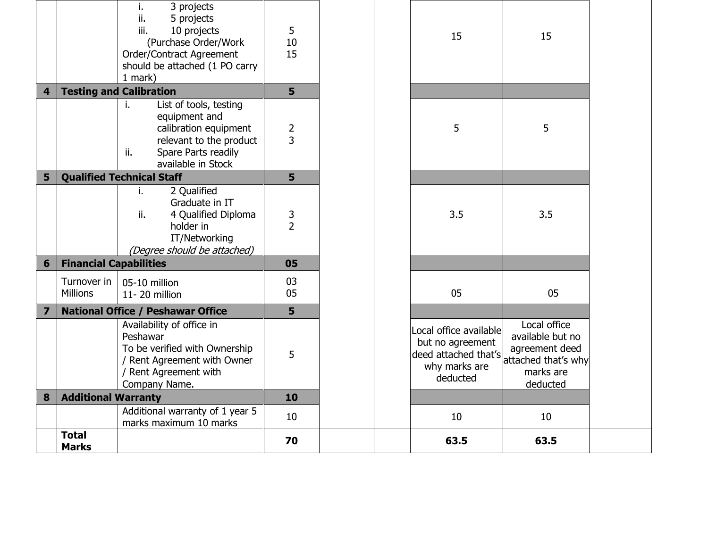|                         | <b>Total</b><br><b>Marks</b>   |                                                                                                                                                               | 70            |  | 63.5                                                                                                               | 63.5                                                      |
|-------------------------|--------------------------------|---------------------------------------------------------------------------------------------------------------------------------------------------------------|---------------|--|--------------------------------------------------------------------------------------------------------------------|-----------------------------------------------------------|
|                         |                                | Additional warranty of 1 year 5<br>marks maximum 10 marks                                                                                                     | 10            |  | 10                                                                                                                 | 10                                                        |
| 8                       | <b>Additional Warranty</b>     |                                                                                                                                                               | 10            |  |                                                                                                                    |                                                           |
|                         |                                | Availability of office in<br>Peshawar<br>To be verified with Ownership<br>/ Rent Agreement with Owner<br>/ Rent Agreement with<br>Company Name.               | 5             |  | Local office available<br>but no agreement<br>deed attached that's attached that's wh<br>why marks are<br>deducted | Local office<br>available but no<br>marks are<br>deducted |
| $\overline{\mathbf{z}}$ |                                | <b>National Office / Peshawar Office</b>                                                                                                                      |               |  |                                                                                                                    |                                                           |
|                         | Turnover in<br><b>Millions</b> | 05-10 million<br>11-20 million                                                                                                                                | 03<br>05      |  | 05                                                                                                                 | 05                                                        |
| 6                       | <b>Financial Capabilities</b>  |                                                                                                                                                               | 05            |  |                                                                                                                    |                                                           |
|                         |                                | 2 Qualified<br>i.<br>Graduate in IT<br>ii.<br>4 Qualified Diploma<br>holder in<br>IT/Networking<br>(Degree should be attached)                                | $\frac{3}{2}$ |  | 3.5                                                                                                                | 3.5                                                       |
| 5                       |                                | <b>Qualified Technical Staff</b>                                                                                                                              | 5             |  |                                                                                                                    |                                                           |
|                         |                                | List of tools, testing<br>i.<br>equipment and<br>calibration equipment<br>relevant to the product<br>Spare Parts readily<br>ii.<br>available in Stock         | $\frac{2}{3}$ |  | 5                                                                                                                  | 5                                                         |
| $\overline{\mathbf{4}}$ |                                | <b>Testing and Calibration</b>                                                                                                                                | 5             |  |                                                                                                                    |                                                           |
|                         |                                | 3 projects<br>i.<br>ii.<br>5 projects<br>iii.<br>10 projects<br>(Purchase Order/Work<br>Order/Contract Agreement<br>should be attached (1 PO carry<br>1 mark) | 5<br>10<br>15 |  | 15                                                                                                                 | 15                                                        |

attached that's why marks are deducted